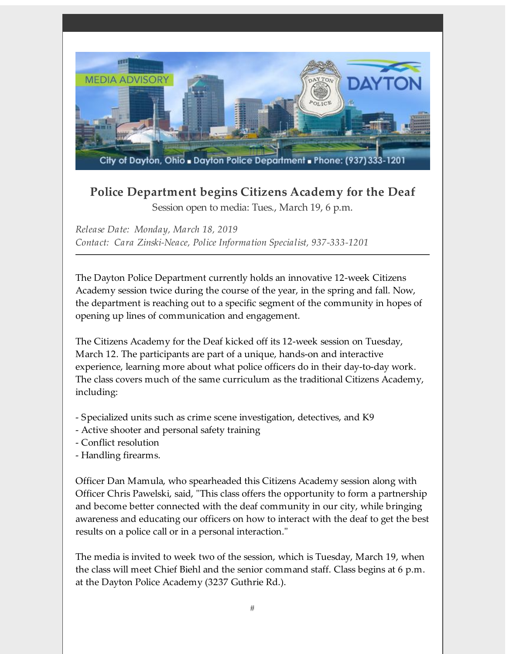

## **Police Department begins Citizens Academy for the Deaf** Session open to media: Tues., March 19, 6 p.m.

*Release Date: Monday, March 18, 2019 Contact: Cara Zinski-Neace, Police Information Specialist, 937-333-1201*

The Dayton Police Department currently holds an innovative 12-week Citizens Academy session twice during the course of the year, in the spring and fall. Now, the department is reaching out to a specific segment of the community in hopes of opening up lines of communication and engagement.

The Citizens Academy for the Deaf kicked off its 12-week session on Tuesday, March 12. The participants are part of a unique, hands-on and interactive experience, learning more about what police officers do in their day-to-day work. The class covers much of the same curriculum as the traditional Citizens Academy, including:

- Specialized units such as crime scene investigation, detectives, and K9
- Active shooter and personal safety training
- Conflict resolution
- Handling firearms.

Officer Dan Mamula, who spearheaded this Citizens Academy session along with Officer Chris Pawelski, said, "This class offers the opportunity to form a partnership and become better connected with the deaf community in our city, while bringing awareness and educating our officers on how to interact with the deaf to get the best results on a police call or in a personal interaction."

The media is invited to week two of the session, which is Tuesday, March 19, when the class will meet Chief Biehl and the senior command staff. Class begins at 6 p.m. at the Dayton Police Academy (3237 Guthrie Rd.).